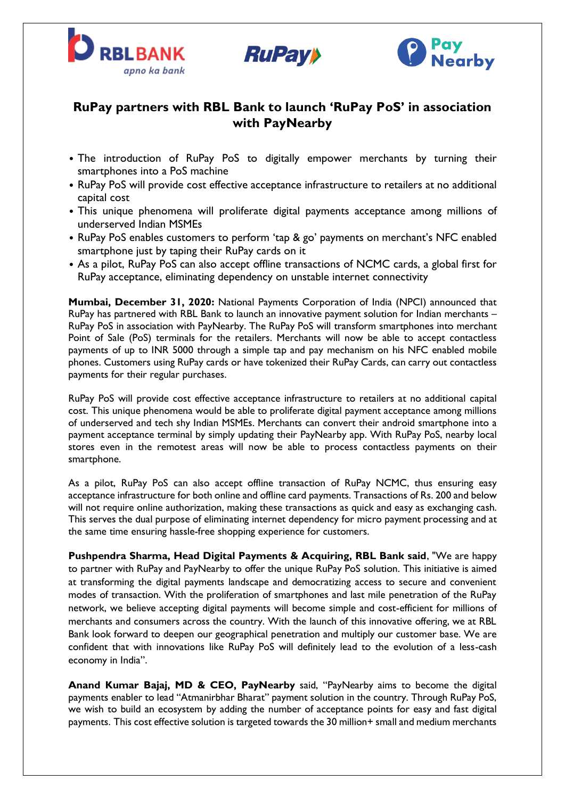





# **RuPay partners with RBL Bank to launch 'RuPay PoS' in association with PayNearby**

- The introduction of RuPay PoS to digitally empower merchants by turning their smartphones into a PoS machine
- RuPay PoS will provide cost effective acceptance infrastructure to retailers at no additional capital cost
- This unique phenomena will proliferate digital payments acceptance among millions of underserved Indian MSMEs
- RuPay PoS enables customers to perform 'tap & go' payments on merchant's NFC enabled smartphone just by taping their RuPay cards on it
- As a pilot, RuPay PoS can also accept offline transactions of NCMC cards, a global first for RuPay acceptance, eliminating dependency on unstable internet connectivity

**Mumbai, December 31, 2020:** National Payments Corporation of India (NPCI) announced that RuPay has partnered with RBL Bank to launch an innovative payment solution for Indian merchants – RuPay PoS in association with PayNearby. The RuPay PoS will transform smartphones into merchant Point of Sale (PoS) terminals for the retailers. Merchants will now be able to accept contactless payments of up to INR 5000 through a simple tap and pay mechanism on his NFC enabled mobile phones. Customers using RuPay cards or have tokenized their RuPay Cards, can carry out contactless payments for their regular purchases.

RuPay PoS will provide cost effective acceptance infrastructure to retailers at no additional capital cost. This unique phenomena would be able to proliferate digital payment acceptance among millions of underserved and tech shy Indian MSMEs. Merchants can convert their android smartphone into a payment acceptance terminal by simply updating their PayNearby app. With RuPay PoS, nearby local stores even in the remotest areas will now be able to process contactless payments on their smartphone.

As a pilot, RuPay PoS can also accept offline transaction of RuPay NCMC, thus ensuring easy acceptance infrastructure for both online and offline card payments. Transactions of Rs. 200 and below will not require online authorization, making these transactions as quick and easy as exchanging cash. This serves the dual purpose of eliminating internet dependency for micro payment processing and at the same time ensuring hassle-free shopping experience for customers.

**Pushpendra Sharma, Head Digital Payments & Acquiring, RBL Bank said**, "We are happy to partner with RuPay and PayNearby to offer the unique RuPay PoS solution. This initiative is aimed at transforming the digital payments landscape and democratizing access to secure and convenient modes of transaction. With the proliferation of smartphones and last mile penetration of the RuPay network, we believe accepting digital payments will become simple and cost-efficient for millions of merchants and consumers across the country. With the launch of this innovative offering, we at RBL Bank look forward to deepen our geographical penetration and multiply our customer base. We are confident that with innovations like RuPay PoS will definitely lead to the evolution of a less-cash economy in India".

**Anand Kumar Bajaj, MD & CEO, PayNearby** said, "PayNearby aims to become the digital payments enabler to lead "Atmanirbhar Bharat" payment solution in the country. Through RuPay PoS, we wish to build an ecosystem by adding the number of acceptance points for easy and fast digital payments. This cost effective solution is targeted towards the 30 million+ small and medium merchants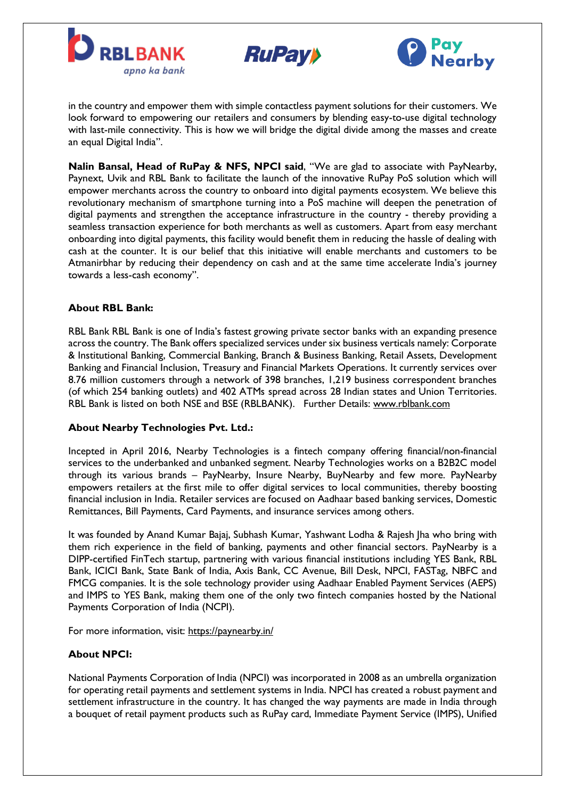





in the country and empower them with simple contactless payment solutions for their customers. We look forward to empowering our retailers and consumers by blending easy-to-use digital technology with last-mile connectivity. This is how we will bridge the digital divide among the masses and create an equal Digital India".

**Nalin Bansal, Head of RuPay & NFS, NPCI said**, "We are glad to associate with PayNearby, Paynext, Uvik and RBL Bank to facilitate the launch of the innovative RuPay PoS solution which will empower merchants across the country to onboard into digital payments ecosystem. We believe this revolutionary mechanism of smartphone turning into a PoS machine will deepen the penetration of digital payments and strengthen the acceptance infrastructure in the country - thereby providing a seamless transaction experience for both merchants as well as customers. Apart from easy merchant onboarding into digital payments, this facility would benefit them in reducing the hassle of dealing with cash at the counter. It is our belief that this initiative will enable merchants and customers to be Atmanirbhar by reducing their dependency on cash and at the same time accelerate India's journey towards a less-cash economy".

## **About RBL Bank:**

RBL Bank RBL Bank is one of India's fastest growing private sector banks with an expanding presence across the country. The Bank offers specialized services under six business verticals namely: Corporate & Institutional Banking, Commercial Banking, Branch & Business Banking, Retail Assets, Development Banking and Financial Inclusion, Treasury and Financial Markets Operations. It currently services over 8.76 million customers through a network of 398 branches, 1,219 business correspondent branches (of which 254 banking outlets) and 402 ATMs spread across 28 Indian states and Union Territories. RBL Bank is listed on both NSE and BSE (RBLBANK). Further Details: [www.rblbank.com](http://secure-web.cisco.com/1w1wtwAWTVaYG_KQ8d5oXLxLwZzS9EuZFXB0X-Japlfgf_C0dKb0VAc27Rln-Kh2f1BeEqFjcClyoLVTildtgmMutljJcBM72P_zp3B-WWZDwC2A3wnba7iLBDPfXj1QI8rpeUyev9Nn8ZhWjU-dgzuXpgHHPjHRYVmloUhzvu064Zgzj-6U59xz0mNJDWPNMraslxY9No0xvAGZZCxbhTBbH5t3XSSEI0i8vx7n2kjVqi0zFLLBg2RP4VeHa5OoddczLgEQsvpmy2Ge-J48VU_z9-DJYwLB9qeRGvkXP5D1RxiS1wnkgku19ZXzwlYCE1dY0ddZMqGjPBQU1tqJ8oJRksASj2ReZVtHFi_PiDfA/http%3A%2F%2Fwww.rblbank.com)

#### **About Nearby Technologies Pvt. Ltd.:**

Incepted in April 2016, Nearby Technologies is a fintech company offering financial/non-financial services to the underbanked and unbanked segment. Nearby Technologies works on a B2B2C model through its various brands – PayNearby, Insure Nearby, BuyNearby and few more. PayNearby empowers retailers at the first mile to offer digital services to local communities, thereby boosting financial inclusion in India. Retailer services are focused on Aadhaar based banking services, Domestic Remittances, Bill Payments, Card Payments, and insurance services among others.

It was founded by Anand Kumar Bajaj, Subhash Kumar, Yashwant Lodha & Rajesh Jha who bring with them rich experience in the field of banking, payments and other financial sectors. PayNearby is a DIPP-certified FinTech startup, partnering with various financial institutions including YES Bank, RBL Bank, ICICI Bank, State Bank of India, Axis Bank, CC Avenue, Bill Desk, NPCI, FASTag, NBFC and FMCG companies. It is the sole technology provider using Aadhaar Enabled Payment Services (AEPS) and IMPS to YES Bank, making them one of the only two fintech companies hosted by the National Payments Corporation of India (NCPI).

For more information, visit: <https://paynearby.in/>

#### **About NPCI:**

National Payments Corporation of India (NPCI) was incorporated in 2008 as an umbrella organization for operating retail payments and settlement systems in India. NPCI has created a robust payment and settlement infrastructure in the country. It has changed the way payments are made in India through a bouquet of retail payment products such as RuPay card, Immediate Payment Service (IMPS), Unified